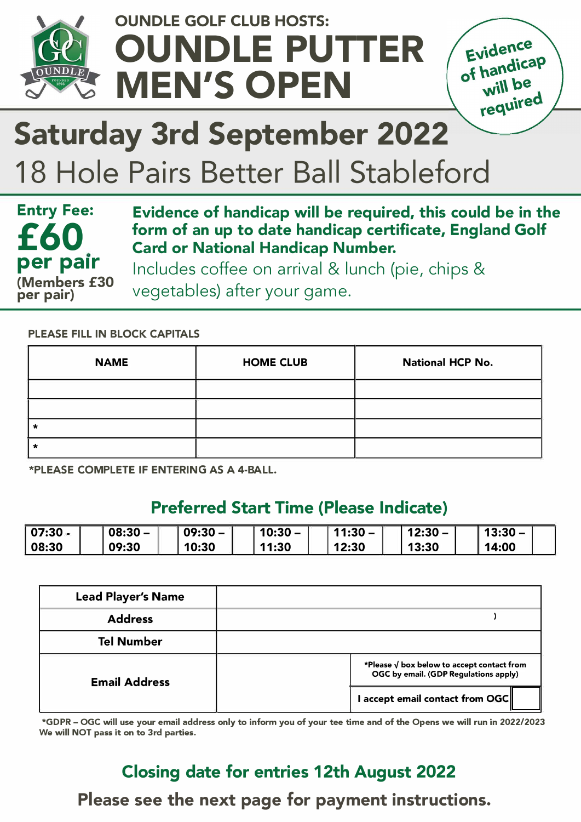

## **OUNDLE GOLF CLUB HOSTS: OUNDLE PUTTER MEN'S OPEN**



# **Saturday 3rd September 2022**

# 18 Hole Pairs Better Ball Stableford



**Evidence of handicap will be required, this could be in the form of an up to date handicap certificate, England Golf Card or National Handicap Number.** 

Includes coffee on arrival & lunch (pie, chips & vegetables) after your game.

#### **PLEASE FILL IN BLOCK CAPITALS**

| <b>NAME</b> | <b>HOME CLUB</b> | <b>National HCP No.</b> |
|-------------|------------------|-------------------------|
|             |                  |                         |
|             |                  |                         |
|             |                  |                         |
|             |                  |                         |

**\*PLEASE COMPLETE IF ENTERING AS A 4-BALL.**

### **Preferred Start Time (Please Indicate)**

| 07:30 | $08:30 -$ | $09:30 -$ | 10:30 | 11:30. | 12:30 | $13:30 -$ |  |
|-------|-----------|-----------|-------|--------|-------|-----------|--|
| 08:30 | 09:30     | 10:30     | 11:30 | 12:30  | 13:30 | 14:00     |  |

| <b>Lead Player's Name</b> |                                                                                             |  |
|---------------------------|---------------------------------------------------------------------------------------------|--|
| <b>Address</b>            |                                                                                             |  |
| <b>Tel Number</b>         |                                                                                             |  |
| <b>Email Address</b>      | *Please $\sqrt{}$ box below to accept contact from<br>OGC by email. (GDP Regulations apply) |  |
|                           | I accept email contact from OGC $\parallel$                                                 |  |

**\*GDPR - OGC will use your email address only to inform you of your tee time and of the Opens we will run in 2022/2023 We will NOT pass it on to 3rd parties.**

### **Closing date for entries 12th August 2022 Please see the next page for payment instructions.**